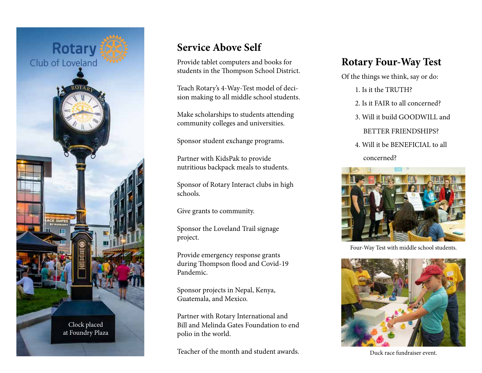

# **Service Above Self**

Provide tablet computers and books for students in the Thompson School District.

Teach Rotary's 4-Way-Test model of decision making to all middle school students.

Make scholarships to students attending community colleges and universities.

Sponsor student exchange programs.

Partner with KidsPak to provide nutritious backpack meals to students.

Sponsor of Rotary Interact clubs in high schools.

Give grants to community.

Sponsor the Loveland Trail signage project.

Provide emergency response grants during Thompson flood and Covid-19 Pandemic.

Sponsor projects in Nepal, Kenya, Guatemala, and Mexico.

Partner with Rotary International and Bill and Melinda Gates Foundation to end polio in the world.

Teacher of the month and student awards.

## **Rotary Four-Way Test**

Of the things we think, say or do:

1. Is it the TRUTH?

- 2. Is it FAIR to all concerned?
- 3. Will it build GOODWILL and
	- BETTER FRIENDSHIPS?
- 4. Will it be BENEFICIAL to all

concerned?



Four-Way Test with middle school students.



Duck race fundraiser event.